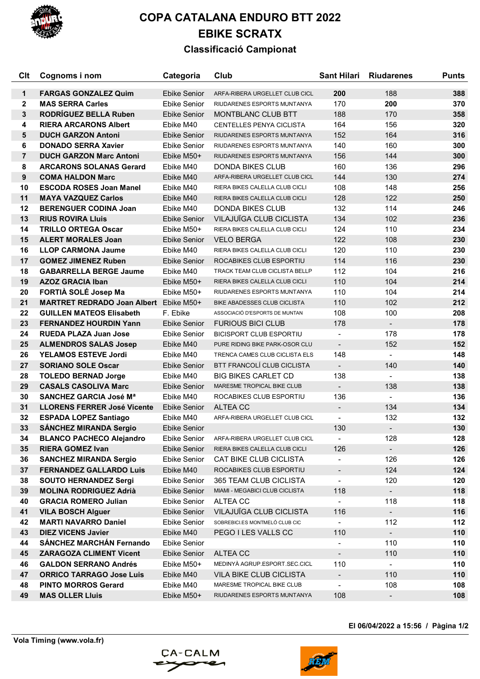

## **COPA CATALANA ENDURO BTT 2022 EBIKE SCRATX**

## **Classificació Campionat**

| Clt            | Cognoms i nom                                            | Categoria                    | Club                                              | <b>Sant Hilari</b>       | <b>Riudarenes</b> | <b>Punts</b> |
|----------------|----------------------------------------------------------|------------------------------|---------------------------------------------------|--------------------------|-------------------|--------------|
| $\mathbf 1$    | <b>FARGAS GONZALEZ Quim</b>                              | <b>Ebike Senior</b>          | ARFA-RIBERA URGELLET CLUB CICL                    | 200                      | 188               | 388          |
| $\mathbf{2}$   | <b>MAS SERRA Carles</b>                                  | Ebike Senior                 | RIUDARENES ESPORTS MUNTANYA                       | 170                      | 200               | 370          |
| 3              | <b>RODRÍGUEZ BELLA Ruben</b>                             | <b>Ebike Senior</b>          | MONTBLANC CLUB BTT                                | 188                      | 170               | 358          |
| 4              | <b>RIERA ARCARONS Albert</b>                             | Ebike M40                    | <b>CENTELLES PENYA CICLISTA</b>                   | 164                      | 156               | 320          |
| 5              | <b>DUCH GARZON Antoni</b>                                | <b>Ebike Senior</b>          | RIUDARENES ESPORTS MUNTANYA                       | 152                      | 164               | 316          |
| 6              | <b>DONADO SERRA Xavier</b>                               | <b>Ebike Senior</b>          | RIUDARENES ESPORTS MUNTANYA                       | 140                      | 160               | 300          |
| $\overline{7}$ | <b>DUCH GARZON Marc Antoni</b>                           | Ebike M50+                   | RIUDARENES ESPORTS MUNTANYA                       | 156                      | 144               | 300          |
| 8              | <b>ARCARONS SOLANAS Gerard</b>                           | Ebike M40                    | DONDA BIKES CLUB                                  | 160                      | 136               | 296          |
| 9              | <b>COMA HALDON Marc</b>                                  | Ebike M40                    | ARFA-RIBERA URGELLET CLUB CICL                    | 144                      | 130               | 274          |
| 10             | <b>ESCODA ROSES Joan Manel</b>                           | Ebike M40                    | RIERA BIKES CALELLA CLUB CICLI                    | 108                      | 148               | 256          |
| 11             | <b>MAYA VAZQUEZ Carlos</b>                               | Ebike M40                    | RIERA BIKES CALELLA CLUB CICLI                    | 128                      | 122               | 250          |
| 12             | <b>BERENGUER CODINA Joan</b>                             | Ebike M40                    | <b>DONDA BIKES CLUB</b>                           | 132                      | 114               | 246          |
| 13             | <b>RIUS ROVIRA LIUIS</b>                                 | Ebike Senior                 | VILAJUÏGA CLUB CICLISTA                           | 134                      | 102               | 236          |
| 14             | <b>TRILLO ORTEGA Oscar</b>                               | Ebike M50+                   | RIERA BIKES CALELLA CLUB CICLI                    | 124                      | 110               | 234          |
| 15             | <b>ALERT MORALES Joan</b>                                | <b>Ebike Senior</b>          | <b>VELO BERGA</b>                                 | 122                      | 108               | 230          |
| 16             | <b>LLOP CARMONA Jaume</b>                                | Ebike M40                    | RIERA BIKES CALELLA CLUB CICLI                    | 120                      | 110               | 230          |
| 17             | <b>GOMEZ JIMENEZ Ruben</b>                               | <b>Ebike Senior</b>          | ROCABIKES CLUB ESPORTIU                           | 114                      | 116               | 230          |
| 18             | <b>GABARRELLA BERGE Jaume</b>                            | Ebike M40                    | TRACK TEAM CLUB CICLISTA BELLP                    | 112                      | 104               | 216          |
| 19             | <b>AZOZ GRACIA Iban</b>                                  | Ebike M50+                   | RIERA BIKES CALELLA CLUB CICLI                    | 110                      | 104               | 214          |
| 20             | FORTIÀ SOLÉ Josep Ma                                     | Ebike M50+                   | RIUDARENES ESPORTS MUNTANYA                       | 110                      | 104               | 214          |
| 21             | <b>MARTRET REDRADO Joan Albert</b>                       | Ebike M50+                   | <b>BIKE ABADESSES CLUB CICLISTA</b>               | 110                      | 102               | 212          |
| 22             | <b>GUILLEN MATEOS Elisabeth</b>                          | F. Ebike                     | ASSOCIACIÓ D'ESPORTS DE MUNTAN                    | 108                      | 100               | 208          |
| 23             | <b>FERNANDEZ HOURDIN Yann</b>                            | Ebike Senior                 | <b>FURIOUS BICI CLUB</b>                          | 178                      | $\sim$            | 178          |
| 24             | <b>RUEDA PLAZA Juan Jose</b>                             | Ebike Senior                 | <b>BICISPORT CLUB ESPORTIU</b>                    |                          | 178               | 178          |
| 25             | <b>ALMENDROS SALAS Josep</b>                             | Ebike M40                    | PURE RIDING BIKE PARK-OSOR CLU                    | $\blacksquare$           | 152               | 152          |
| 26             | <b>YELAMOS ESTEVE Jordi</b>                              | Ebike M40                    | TRENCA CAMES CLUB CICLISTA ELS                    | 148                      |                   | 148          |
| 27             | <b>SORIANO SOLE Oscar</b>                                | <b>Ebike Senior</b>          | BTT FRANCOLÍ CLUB CICLISTA                        |                          | 140               | 140          |
| 28             | <b>TOLEDO BERNAD Jorge</b>                               | Ebike M40                    | <b>BIG BIKES CARLET CD</b>                        | 138                      |                   | 138          |
| 29             | <b>CASALS CASOLIVA Marc</b>                              | Ebike Senior                 | MARESME TROPICAL BIKE CLUB                        | $\blacksquare$           | 138               | 138          |
| 30             | <b>SANCHEZ GARCIA José Ma</b>                            | Ebike M40                    | ROCABIKES CLUB ESPORTIU                           | 136                      |                   | 136          |
| 31             |                                                          |                              |                                                   |                          |                   |              |
|                | <b>LLORENS FERRER José Vicente</b>                       | Ebike Senior                 | ALTEA CC<br>ARFA-RIBERA URGELLET CLUB CICL        | $\overline{\phantom{a}}$ | 134<br>132        | 134<br>132   |
| 32             | <b>ESPADA LOPEZ Santiago</b>                             | Ebike M40                    |                                                   | 130                      |                   |              |
| 33             | <b>SÁNCHEZ MIRANDA Sergio</b>                            | <b>Ebike Senior</b>          |                                                   |                          |                   | 130          |
| 34             | <b>BLANCO PACHECO Alejandro</b>                          | <b>Ebike Senior</b>          | ARFA-RIBERA URGELLET CLUB CICL                    | $\overline{\phantom{a}}$ | 128               | 128          |
| 35             | <b>RIERA GOMEZ Ivan</b><br><b>SANCHEZ MIRANDA Sergio</b> | Ebike Senior                 | RIERA BIKES CALELLA CLUB CICLI                    | 126                      | $\blacksquare$    | 126          |
| 36             |                                                          | Ebike Senior                 | CAT BIKE CLUB CICLISTA<br>ROCABIKES CLUB ESPORTIU | $\overline{\phantom{0}}$ | 126               | 126          |
| 37             | <b>FERNANDEZ GALLARDO Luis</b>                           | Ebike M40                    |                                                   | $\blacksquare$           | 124               | 124          |
| 38             | <b>SOUTO HERNANDEZ Sergi</b>                             | Ebike Senior<br>Ebike Senior | 365 TEAM CLUB CICLISTA                            | $\blacksquare$           | 120               | 120          |
| 39             | <b>MOLINA RODRIGUEZ Adrià</b>                            |                              | MIAMI - MEGABICI CLUB CICLISTA                    | 118                      | $\blacksquare$    | 118          |
| 40             | <b>GRACIA ROMERO Julian</b>                              | Ebike Senior                 | ALTEA CC<br>VILAJUÏGA CLUB CICLISTA               | $\blacksquare$           | 118               | 118          |
| 41             | <b>VILA BOSCH Alguer</b>                                 | Ebike Senior                 |                                                   | 116                      | $\blacksquare$    | 116          |
| 42             | <b>MARTI NAVARRO Daniel</b><br><b>DIEZ VICENS Javier</b> | Ebike Senior                 | SOBREBICI.ES MONTMELÓ CLUB CIC                    | $\blacksquare$           | 112               | 112          |
| 43             |                                                          | Ebike M40                    | PEGO I LES VALLS CC                               | 110                      | $\blacksquare$    | 110          |
| 44             | <b>SÁNCHEZ MARCHÁN Fernando</b>                          | Ebike Senior                 |                                                   | $\overline{\phantom{a}}$ | 110               | 110          |
| 45             | <b>ZARAGOZA CLIMENT Vicent</b>                           | Ebike Senior                 | <b>ALTEA CC</b>                                   | $\overline{\phantom{a}}$ | 110               | 110          |
| 46             | <b>GALDON SERRANO Andrés</b>                             | Ebike M50+                   | MEDINYÀ AGRUP.ESPORT.SEC.CICL                     | 110                      | $\blacksquare$    | 110          |
| 47             | <b>ORRICO TARRAGO Jose Luis</b>                          | Ebike M40                    | VILA BIKE CLUB CICLISTA                           | $\blacksquare$           | 110               | 110          |
| 48             | <b>PINTO MORROS Gerard</b>                               | Ebike M40                    | MARESME TROPICAL BIKE CLUB                        | $\overline{\phantom{0}}$ | 108               | 108          |
| 49             | <b>MAS OLLER Lluis</b>                                   | Ebike M50+                   | RIUDARENES ESPORTS MUNTANYA                       | 108                      | $\blacksquare$    | 108          |